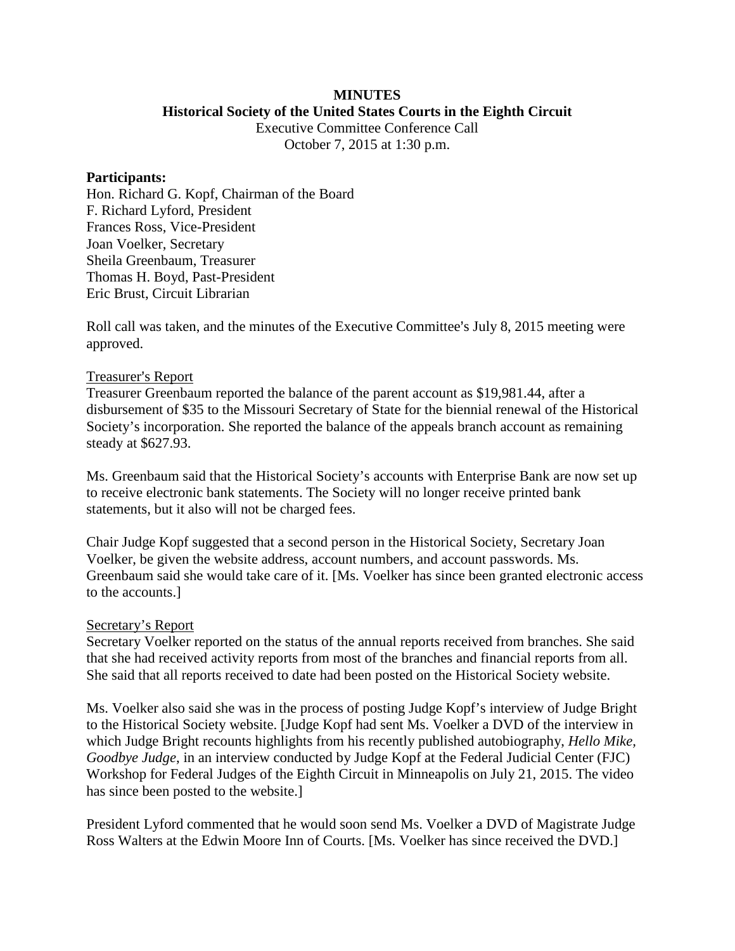# **MINUTES**

**Historical Society of the United States Courts in the Eighth Circuit**

Executive Committee Conference Call October 7, 2015 at 1:30 p.m.

#### **Participants:**

Hon. Richard G. Kopf, Chairman of the Board F. Richard Lyford, President Frances Ross, Vice-President Joan Voelker, Secretary Sheila Greenbaum, Treasurer Thomas H. Boyd, Past-President Eric Brust, Circuit Librarian

Roll call was taken, and the minutes of the Executive Committee's July 8, 2015 meeting were approved.

## Treasurer's Report

Treasurer Greenbaum reported the balance of the parent account as \$19,981.44, after a disbursement of \$35 to the Missouri Secretary of State for the biennial renewal of the Historical Society's incorporation. She reported the balance of the appeals branch account as remaining steady at \$627.93.

Ms. Greenbaum said that the Historical Society's accounts with Enterprise Bank are now set up to receive electronic bank statements. The Society will no longer receive printed bank statements, but it also will not be charged fees.

Chair Judge Kopf suggested that a second person in the Historical Society, Secretary Joan Voelker, be given the website address, account numbers, and account passwords. Ms. Greenbaum said she would take care of it. [Ms. Voelker has since been granted electronic access to the accounts.]

## Secretary's Report

Secretary Voelker reported on the status of the annual reports received from branches. She said that she had received activity reports from most of the branches and financial reports from all. She said that all reports received to date had been posted on the Historical Society website.

Ms. Voelker also said she was in the process of posting Judge Kopf's interview of Judge Bright to the Historical Society website. [Judge Kopf had sent Ms. Voelker a DVD of the interview in which Judge Bright recounts highlights from his recently published autobiography, *Hello Mike, Goodbye Judge*, in an interview conducted by Judge Kopf at the Federal Judicial Center (FJC) Workshop for Federal Judges of the Eighth Circuit in Minneapolis on July 21, 2015. The video has since been posted to the website.]

President Lyford commented that he would soon send Ms. Voelker a DVD of Magistrate Judge Ross Walters at the Edwin Moore Inn of Courts. [Ms. Voelker has since received the DVD.]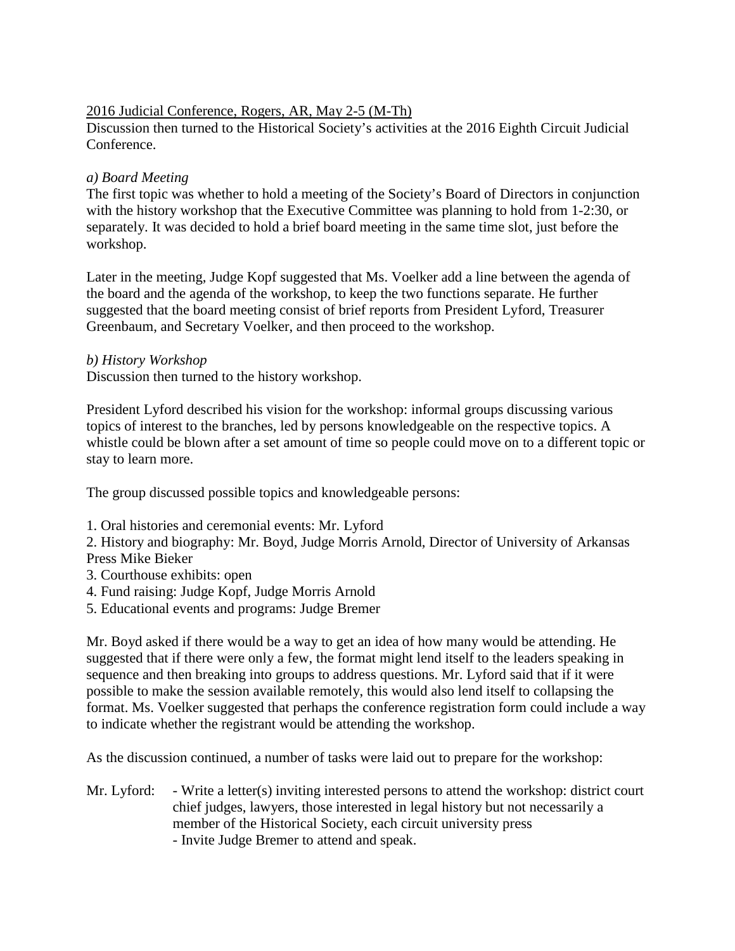## 2016 Judicial Conference, Rogers, AR, May 2-5 (M-Th)

Discussion then turned to the Historical Society's activities at the 2016 Eighth Circuit Judicial Conference.

# *a) Board Meeting*

The first topic was whether to hold a meeting of the Society's Board of Directors in conjunction with the history workshop that the Executive Committee was planning to hold from 1-2:30, or separately. It was decided to hold a brief board meeting in the same time slot, just before the workshop.

Later in the meeting, Judge Kopf suggested that Ms. Voelker add a line between the agenda of the board and the agenda of the workshop, to keep the two functions separate. He further suggested that the board meeting consist of brief reports from President Lyford, Treasurer Greenbaum, and Secretary Voelker, and then proceed to the workshop.

## *b) History Workshop*

Discussion then turned to the history workshop.

President Lyford described his vision for the workshop: informal groups discussing various topics of interest to the branches, led by persons knowledgeable on the respective topics. A whistle could be blown after a set amount of time so people could move on to a different topic or stay to learn more.

The group discussed possible topics and knowledgeable persons:

1. Oral histories and ceremonial events: Mr. Lyford

2. History and biography: Mr. Boyd, Judge Morris Arnold, Director of University of Arkansas Press Mike Bieker

- 3. Courthouse exhibits: open
- 4. Fund raising: Judge Kopf, Judge Morris Arnold
- 5. Educational events and programs: Judge Bremer

Mr. Boyd asked if there would be a way to get an idea of how many would be attending. He suggested that if there were only a few, the format might lend itself to the leaders speaking in sequence and then breaking into groups to address questions. Mr. Lyford said that if it were possible to make the session available remotely, this would also lend itself to collapsing the format. Ms. Voelker suggested that perhaps the conference registration form could include a way to indicate whether the registrant would be attending the workshop.

As the discussion continued, a number of tasks were laid out to prepare for the workshop:

Mr. Lyford: - Write a letter(s) inviting interested persons to attend the workshop: district court chief judges, lawyers, those interested in legal history but not necessarily a member of the Historical Society, each circuit university press - Invite Judge Bremer to attend and speak.